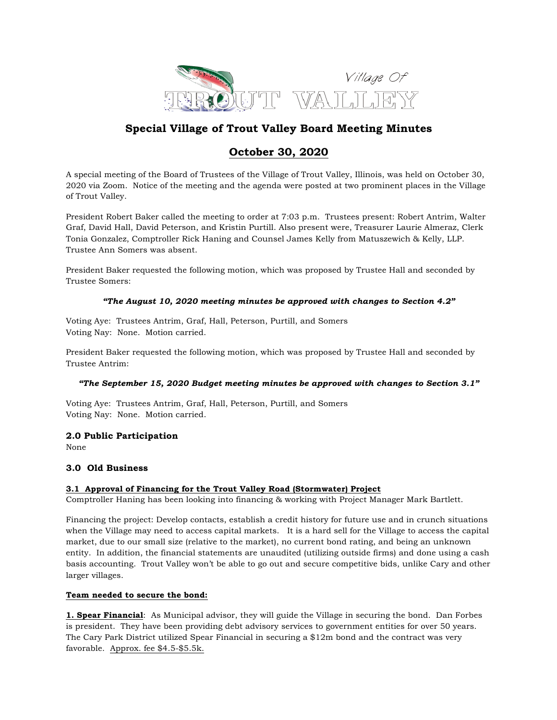

# **Special Village of Trout Valley Board Meeting Minutes**

# **October 30, 2020**

A special meeting of the Board of Trustees of the Village of Trout Valley, Illinois, was held on October 30, 2020 via Zoom. Notice of the meeting and the agenda were posted at two prominent places in the Village of Trout Valley.

President Robert Baker called the meeting to order at 7:03 p.m. Trustees present: Robert Antrim, Walter Graf, David Hall, David Peterson, and Kristin Purtill. Also present were, Treasurer Laurie Almeraz, Clerk Tonia Gonzalez, Comptroller Rick Haning and Counsel James Kelly from Matuszewich & Kelly, LLP. Trustee Ann Somers was absent.

President Baker requested the following motion, which was proposed by Trustee Hall and seconded by Trustee Somers:

## *"The August 10, 2020 meeting minutes be approved with changes to Section 4.2"*

Voting Aye: Trustees Antrim, Graf, Hall, Peterson, Purtill, and Somers Voting Nay: None. Motion carried.

President Baker requested the following motion, which was proposed by Trustee Hall and seconded by Trustee Antrim:

## *"The September 15, 2020 Budget meeting minutes be approved with changes to Section 3.1"*

Voting Aye: Trustees Antrim, Graf, Hall, Peterson, Purtill, and Somers Voting Nay: None. Motion carried.

## **2.0 Public Participation**

None

## **3.0 Old Business**

## **3.1 Approval of Financing for the Trout Valley Road (Stormwater) Project**

Comptroller Haning has been looking into financing & working with Project Manager Mark Bartlett.

Financing the project: Develop contacts, establish a credit history for future use and in crunch situations when the Village may need to access capital markets. It is a hard sell for the Village to access the capital market, due to our small size (relative to the market), no current bond rating, and being an unknown entity. In addition, the financial statements are unaudited (utilizing outside firms) and done using a cash basis accounting. Trout Valley won't be able to go out and secure competitive bids, unlike Cary and other larger villages.

## **Team needed to secure the bond:**

**1. Spear Financial**: As Municipal advisor, they will guide the Village in securing the bond. Dan Forbes is president. They have been providing debt advisory services to government entities for over 50 years. The Cary Park District utilized Spear Financial in securing a \$12m bond and the contract was very favorable. Approx. fee \$4.5-\$5.5k.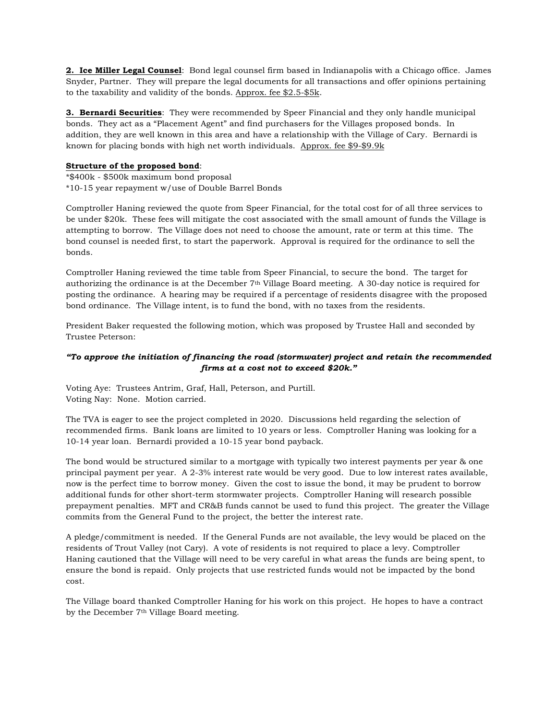**2. Ice Miller Legal Counsel**: Bond legal counsel firm based in Indianapolis with a Chicago office. James Snyder, Partner. They will prepare the legal documents for all transactions and offer opinions pertaining to the taxability and validity of the bonds. Approx. fee \$2.5-\$5k.

**3. Bernardi Securities**: They were recommended by Speer Financial and they only handle municipal bonds. They act as a "Placement Agent" and find purchasers for the Villages proposed bonds. In addition, they are well known in this area and have a relationship with the Village of Cary. Bernardi is known for placing bonds with high net worth individuals. Approx. fee \$9-\$9.9k

#### **Structure of the proposed bond**:

\*\$400k - \$500k maximum bond proposal \*10-15 year repayment w/use of Double Barrel Bonds

Comptroller Haning reviewed the quote from Speer Financial, for the total cost for of all three services to be under \$20k. These fees will mitigate the cost associated with the small amount of funds the Village is attempting to borrow. The Village does not need to choose the amount, rate or term at this time. The bond counsel is needed first, to start the paperwork. Approval is required for the ordinance to sell the bonds.

Comptroller Haning reviewed the time table from Speer Financial, to secure the bond. The target for authorizing the ordinance is at the December 7th Village Board meeting. A 30-day notice is required for posting the ordinance. A hearing may be required if a percentage of residents disagree with the proposed bond ordinance. The Village intent, is to fund the bond, with no taxes from the residents.

President Baker requested the following motion, which was proposed by Trustee Hall and seconded by Trustee Peterson:

## *"To approve the initiation of financing the road (stormwater) project and retain the recommended firms at a cost not to exceed \$20k."*

Voting Aye: Trustees Antrim, Graf, Hall, Peterson, and Purtill. Voting Nay: None. Motion carried.

The TVA is eager to see the project completed in 2020. Discussions held regarding the selection of recommended firms. Bank loans are limited to 10 years or less. Comptroller Haning was looking for a 10-14 year loan. Bernardi provided a 10-15 year bond payback.

The bond would be structured similar to a mortgage with typically two interest payments per year & one principal payment per year. A 2-3% interest rate would be very good. Due to low interest rates available, now is the perfect time to borrow money. Given the cost to issue the bond, it may be prudent to borrow additional funds for other short-term stormwater projects. Comptroller Haning will research possible prepayment penalties. MFT and CR&B funds cannot be used to fund this project. The greater the Village commits from the General Fund to the project, the better the interest rate.

A pledge/commitment is needed. If the General Funds are not available, the levy would be placed on the residents of Trout Valley (not Cary). A vote of residents is not required to place a levy. Comptroller Haning cautioned that the Village will need to be very careful in what areas the funds are being spent, to ensure the bond is repaid. Only projects that use restricted funds would not be impacted by the bond cost.

The Village board thanked Comptroller Haning for his work on this project. He hopes to have a contract by the December 7th Village Board meeting.